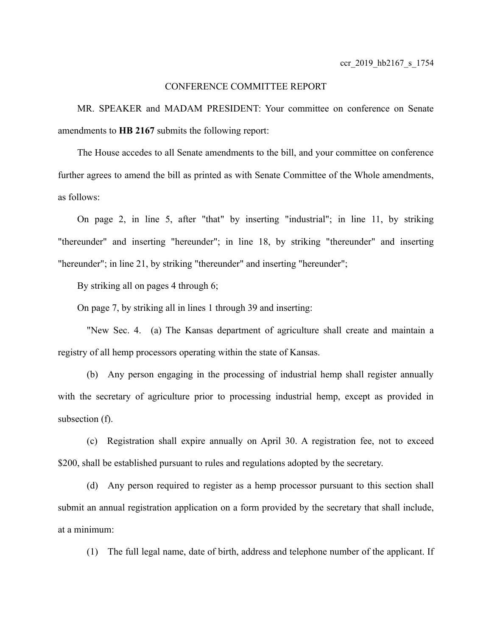## CONFERENCE COMMITTEE REPORT

MR. SPEAKER and MADAM PRESIDENT: Your committee on conference on Senate amendments to **HB 2167** submits the following report:

The House accedes to all Senate amendments to the bill, and your committee on conference further agrees to amend the bill as printed as with Senate Committee of the Whole amendments, as follows:

On page 2, in line 5, after "that" by inserting "industrial"; in line 11, by striking "thereunder" and inserting "hereunder"; in line 18, by striking "thereunder" and inserting "hereunder"; in line 21, by striking "thereunder" and inserting "hereunder";

By striking all on pages 4 through 6;

On page 7, by striking all in lines 1 through 39 and inserting:

"New Sec. 4. (a) The Kansas department of agriculture shall create and maintain a registry of all hemp processors operating within the state of Kansas.

(b) Any person engaging in the processing of industrial hemp shall register annually with the secretary of agriculture prior to processing industrial hemp, except as provided in subsection (f).

(c) Registration shall expire annually on April 30. A registration fee, not to exceed \$200, shall be established pursuant to rules and regulations adopted by the secretary.

(d) Any person required to register as a hemp processor pursuant to this section shall submit an annual registration application on a form provided by the secretary that shall include, at a minimum:

(1) The full legal name, date of birth, address and telephone number of the applicant. If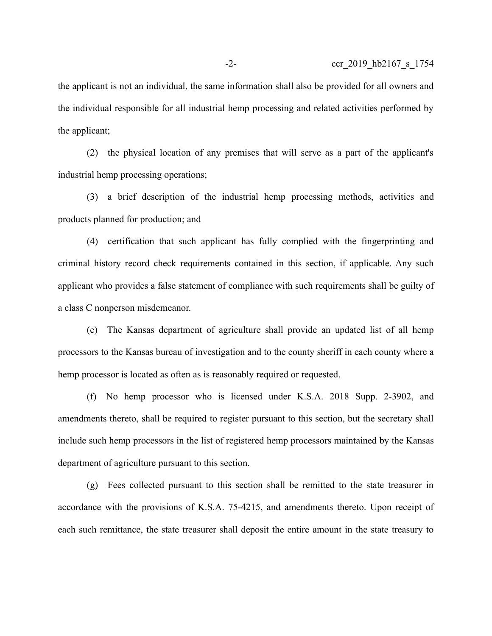the applicant is not an individual, the same information shall also be provided for all owners and the individual responsible for all industrial hemp processing and related activities performed by the applicant;

(2) the physical location of any premises that will serve as a part of the applicant's industrial hemp processing operations;

(3) a brief description of the industrial hemp processing methods, activities and products planned for production; and

(4) certification that such applicant has fully complied with the fingerprinting and criminal history record check requirements contained in this section, if applicable. Any such applicant who provides a false statement of compliance with such requirements shall be guilty of a class C nonperson misdemeanor.

(e) The Kansas department of agriculture shall provide an updated list of all hemp processors to the Kansas bureau of investigation and to the county sheriff in each county where a hemp processor is located as often as is reasonably required or requested.

(f) No hemp processor who is licensed under K.S.A. 2018 Supp. 2-3902, and amendments thereto, shall be required to register pursuant to this section, but the secretary shall include such hemp processors in the list of registered hemp processors maintained by the Kansas department of agriculture pursuant to this section.

(g) Fees collected pursuant to this section shall be remitted to the state treasurer in accordance with the provisions of K.S.A. 75-4215, and amendments thereto. Upon receipt of each such remittance, the state treasurer shall deposit the entire amount in the state treasury to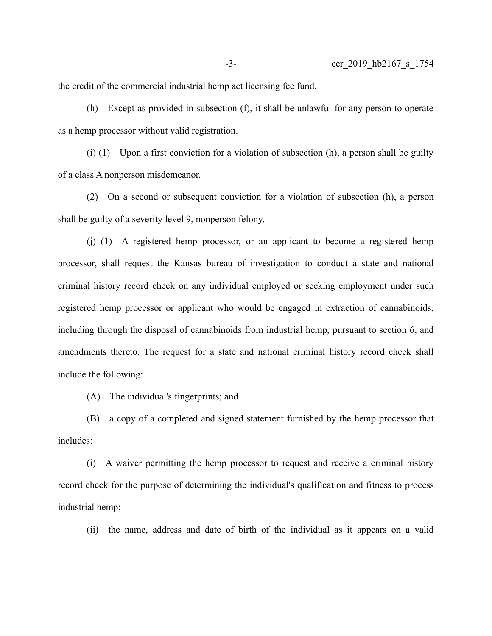the credit of the commercial industrial hemp act licensing fee fund.

(h) Except as provided in subsection (f), it shall be unlawful for any person to operate as a hemp processor without valid registration.

(i) (1) Upon a first conviction for a violation of subsection (h), a person shall be guilty of a class A nonperson misdemeanor.

(2) On a second or subsequent conviction for a violation of subsection (h), a person shall be guilty of a severity level 9, nonperson felony.

(j) (1) A registered hemp processor, or an applicant to become a registered hemp processor, shall request the Kansas bureau of investigation to conduct a state and national criminal history record check on any individual employed or seeking employment under such registered hemp processor or applicant who would be engaged in extraction of cannabinoids, including through the disposal of cannabinoids from industrial hemp, pursuant to section 6, and amendments thereto. The request for a state and national criminal history record check shall include the following:

(A) The individual's fingerprints; and

(B) a copy of a completed and signed statement furnished by the hemp processor that includes:

(i) A waiver permitting the hemp processor to request and receive a criminal history record check for the purpose of determining the individual's qualification and fitness to process industrial hemp;

(ii) the name, address and date of birth of the individual as it appears on a valid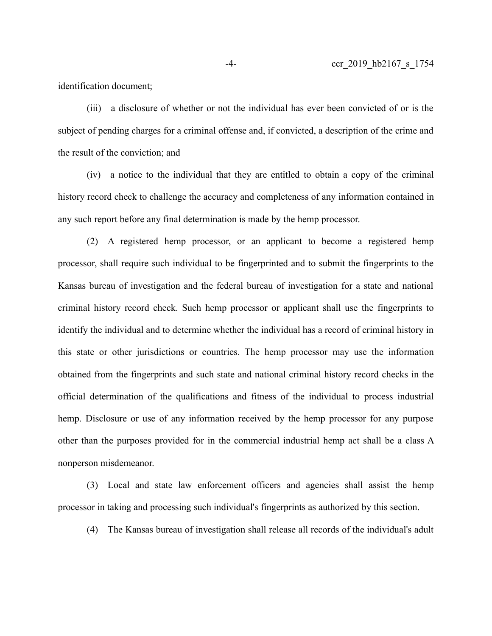identification document;

(iii) a disclosure of whether or not the individual has ever been convicted of or is the subject of pending charges for a criminal offense and, if convicted, a description of the crime and the result of the conviction; and

(iv) a notice to the individual that they are entitled to obtain a copy of the criminal history record check to challenge the accuracy and completeness of any information contained in any such report before any final determination is made by the hemp processor.

(2) A registered hemp processor, or an applicant to become a registered hemp processor, shall require such individual to be fingerprinted and to submit the fingerprints to the Kansas bureau of investigation and the federal bureau of investigation for a state and national criminal history record check. Such hemp processor or applicant shall use the fingerprints to identify the individual and to determine whether the individual has a record of criminal history in this state or other jurisdictions or countries. The hemp processor may use the information obtained from the fingerprints and such state and national criminal history record checks in the official determination of the qualifications and fitness of the individual to process industrial hemp. Disclosure or use of any information received by the hemp processor for any purpose other than the purposes provided for in the commercial industrial hemp act shall be a class A nonperson misdemeanor.

(3) Local and state law enforcement officers and agencies shall assist the hemp processor in taking and processing such individual's fingerprints as authorized by this section.

(4) The Kansas bureau of investigation shall release all records of the individual's adult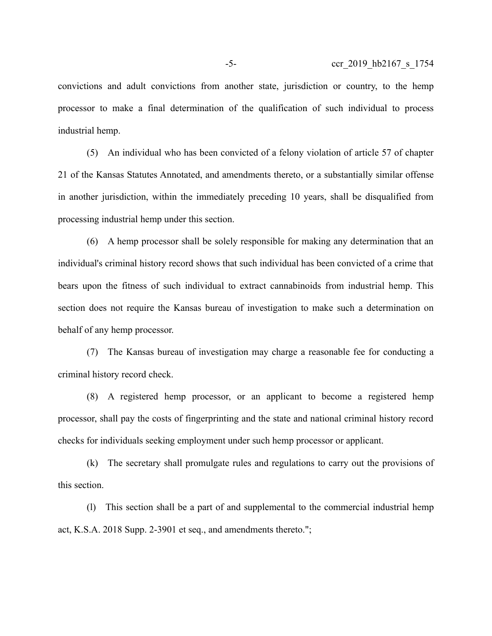convictions and adult convictions from another state, jurisdiction or country, to the hemp processor to make a final determination of the qualification of such individual to process industrial hemp.

(5) An individual who has been convicted of a felony violation of article 57 of chapter 21 of the Kansas Statutes Annotated, and amendments thereto, or a substantially similar offense in another jurisdiction, within the immediately preceding 10 years, shall be disqualified from processing industrial hemp under this section.

(6) A hemp processor shall be solely responsible for making any determination that an individual's criminal history record shows that such individual has been convicted of a crime that bears upon the fitness of such individual to extract cannabinoids from industrial hemp. This section does not require the Kansas bureau of investigation to make such a determination on behalf of any hemp processor.

(7) The Kansas bureau of investigation may charge a reasonable fee for conducting a criminal history record check.

(8) A registered hemp processor, or an applicant to become a registered hemp processor, shall pay the costs of fingerprinting and the state and national criminal history record checks for individuals seeking employment under such hemp processor or applicant.

(k) The secretary shall promulgate rules and regulations to carry out the provisions of this section.

(l) This section shall be a part of and supplemental to the commercial industrial hemp act, K.S.A. 2018 Supp. 2-3901 et seq., and amendments thereto.";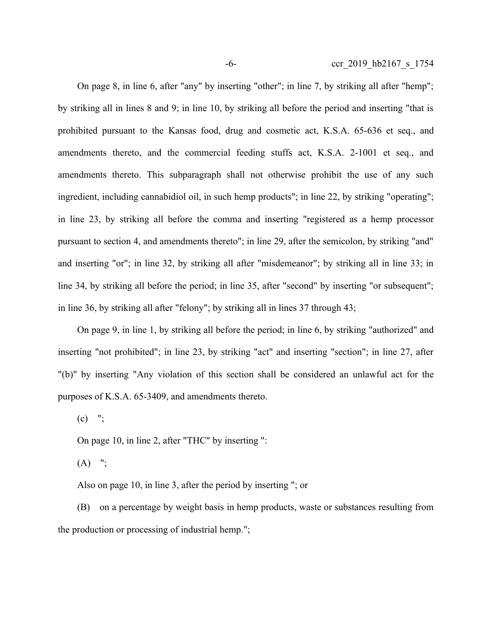On page 8, in line 6, after "any" by inserting "other"; in line 7, by striking all after "hemp"; by striking all in lines 8 and 9; in line 10, by striking all before the period and inserting "that is prohibited pursuant to the Kansas food, drug and cosmetic act, K.S.A. 65-636 et seq., and amendments thereto, and the commercial feeding stuffs act, K.S.A. 2-1001 et seq., and amendments thereto. This subparagraph shall not otherwise prohibit the use of any such ingredient, including cannabidiol oil, in such hemp products"; in line 22, by striking "operating"; in line 23, by striking all before the comma and inserting "registered as a hemp processor pursuant to section 4, and amendments thereto"; in line 29, after the semicolon, by striking "and" and inserting "or"; in line 32, by striking all after "misdemeanor"; by striking all in line 33; in line 34, by striking all before the period; in line 35, after "second" by inserting "or subsequent"; in line 36, by striking all after "felony"; by striking all in lines 37 through 43;

On page 9, in line 1, by striking all before the period; in line 6, by striking "authorized" and inserting "not prohibited"; in line 23, by striking "act" and inserting "section"; in line 27, after "(b)" by inserting "Any violation of this section shall be considered an unlawful act for the purposes of K.S.A. 65-3409, and amendments thereto.

 $(c)$  ";

On page 10, in line 2, after "THC" by inserting ":

 $(A)$  ";

Also on page 10, in line 3, after the period by inserting "; or

(B) on a percentage by weight basis in hemp products, waste or substances resulting from the production or processing of industrial hemp.";